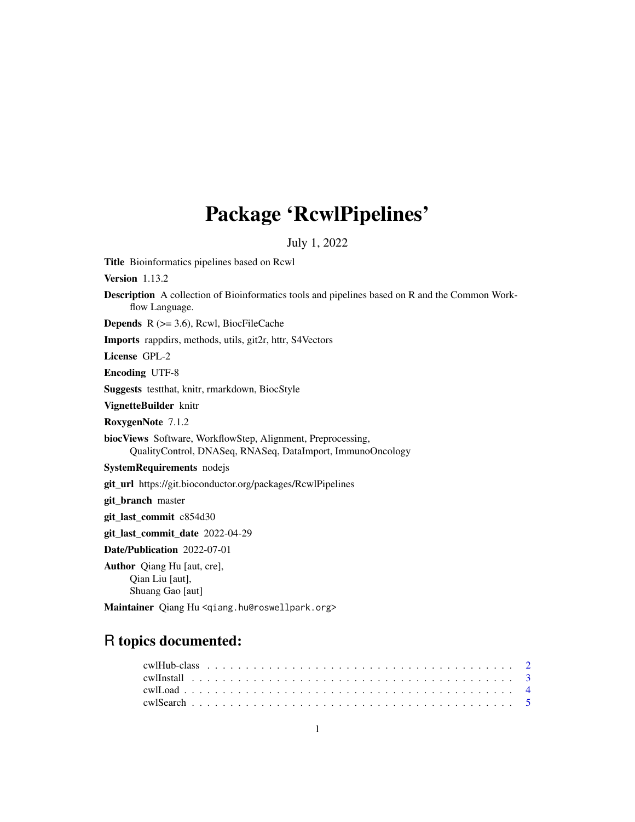## Package 'RcwlPipelines'

July 1, 2022

Title Bioinformatics pipelines based on Rcwl Version 1.13.2 Description A collection of Bioinformatics tools and pipelines based on R and the Common Workflow Language. **Depends**  $R$  ( $>= 3.6$ ), Rcwl, BiocFileCache Imports rappdirs, methods, utils, git2r, httr, S4Vectors License GPL-2 Encoding UTF-8 Suggests testthat, knitr, rmarkdown, BiocStyle VignetteBuilder knitr RoxygenNote 7.1.2 biocViews Software, WorkflowStep, Alignment, Preprocessing, QualityControl, DNASeq, RNASeq, DataImport, ImmunoOncology SystemRequirements nodejs git\_url https://git.bioconductor.org/packages/RcwlPipelines git\_branch master git\_last\_commit c854d30 git\_last\_commit\_date 2022-04-29 Date/Publication 2022-07-01 Author Qiang Hu [aut, cre], Qian Liu [aut], Shuang Gao [aut]

Maintainer Qiang Hu <qiang.hu@roswellpark.org>

### R topics documented: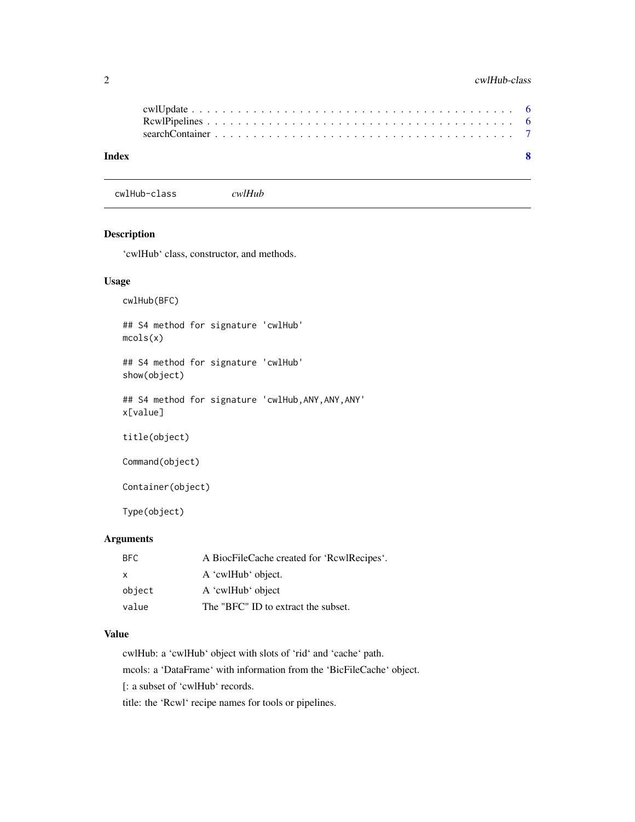#### <span id="page-1-0"></span>2 cwlHub-class

| $\mathbf{R}$ |
|--------------|
|              |
|              |
|              |

cwlHub-class *cwlHub*

#### Description

'cwlHub' class, constructor, and methods.

#### Usage

cwlHub(BFC)

## S4 method for signature 'cwlHub' mcols(x)

## S4 method for signature 'cwlHub' show(object)

## S4 method for signature 'cwlHub,ANY,ANY,ANY' x[value]

title(object)

Command(object)

Container(object)

Type(object)

#### Arguments

| BFC.   | A BiocFileCache created for 'RcwlRecipes'. |
|--------|--------------------------------------------|
| X      | A 'cwlHub' object.                         |
| object | A 'cwlHub' object                          |
| value  | The "BFC" ID to extract the subset.        |

#### Value

cwlHub: a 'cwlHub' object with slots of 'rid' and 'cache' path. mcols: a 'DataFrame' with information from the 'BicFileCache' object. [: a subset of 'cwlHub' records.

title: the 'Rcwl' recipe names for tools or pipelines.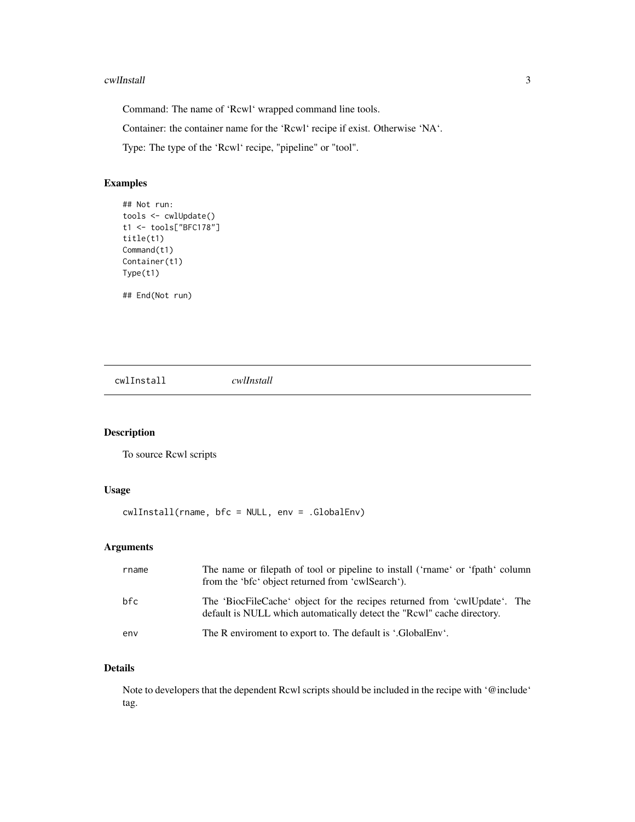#### <span id="page-2-0"></span>cwlInstall 3

Command: The name of 'Rcwl' wrapped command line tools.

Container: the container name for the 'Rcwl' recipe if exist. Otherwise 'NA'.

Type: The type of the 'Rcwl' recipe, "pipeline" or "tool".

#### Examples

```
## Not run:
tools <- cwlUpdate()
t1 <- tools["BFC178"]
title(t1)
Command(t1)
Container(t1)
Type(t1)
```
## End(Not run)

cwlInstall *cwlInstall*

#### Description

To source Rcwl scripts

#### Usage

```
cwlInstall(rname, bfc = NULL, env = .GlobalEnv)
```
#### Arguments

| rname | The name or filepath of tool or pipeline to install ('rname' or 'fpath' column<br>from the 'bfc' object returned from 'cwlSearch').                 |
|-------|-----------------------------------------------------------------------------------------------------------------------------------------------------|
| bfc   | The 'BiocFileCache' object for the recipes returned from 'cwlUpdate'. The<br>default is NULL which automatically detect the "Rcwl" cache directory. |
| env   | The R enviroment to export to. The default is '.GlobalEnv'.                                                                                         |

#### Details

Note to developers that the dependent Rcwl scripts should be included in the recipe with '@include' tag.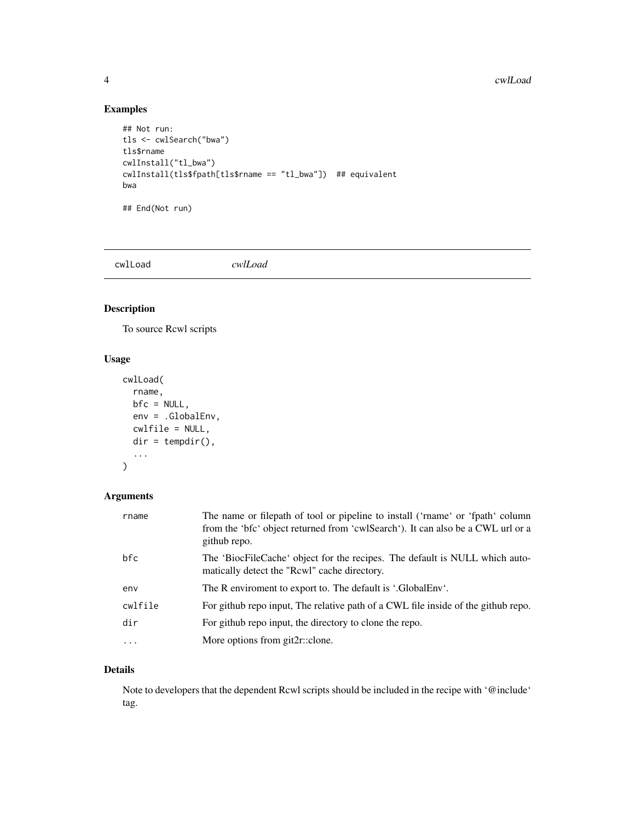#### 4 cwlLoad and the contract of the contract of the contract of the contract of the contract of the contract of the contract of the contract of the contract of the contract of the contract of the contract of the contract of

#### Examples

```
## Not run:
tls <- cwlSearch("bwa")
tls$rname
cwlInstall("tl_bwa")
cwlInstall(tls$fpath[tls$rname == "tl_bwa"]) ## equivalent
bwa
## End(Not run)
```
cwlLoad *cwlLoad*

#### Description

To source Rcwl scripts

#### Usage

```
cwlLoad(
  rname,
  bfc = NULL,env = .GlobalEnv,
  cwlfile = NULL,
  dir = tempdir(),
  ...
)
```
#### Arguments

| rname      | The name or filepath of tool or pipeline to install ('range' or 'fpath' column<br>from the 'brt object returned from 'cwlSearch'). It can also be a CWL url or a<br>github repo. |
|------------|----------------------------------------------------------------------------------------------------------------------------------------------------------------------------------|
| bfc        | The 'BiocFileCache' object for the recipes. The default is NULL which auto-<br>matically detect the "Rcwl" cache directory.                                                      |
| env        | The R enviroment to export to. The default is '.GlobalEnv'.                                                                                                                      |
| cwlfile    | For github repo input, The relative path of a CWL file inside of the github repo.                                                                                                |
| dir        | For github repo input, the directory to clone the repo.                                                                                                                          |
| $\ddots$ . | More options from git2r::clone.                                                                                                                                                  |

#### Details

Note to developers that the dependent Rcwl scripts should be included in the recipe with '@include' tag.

<span id="page-3-0"></span>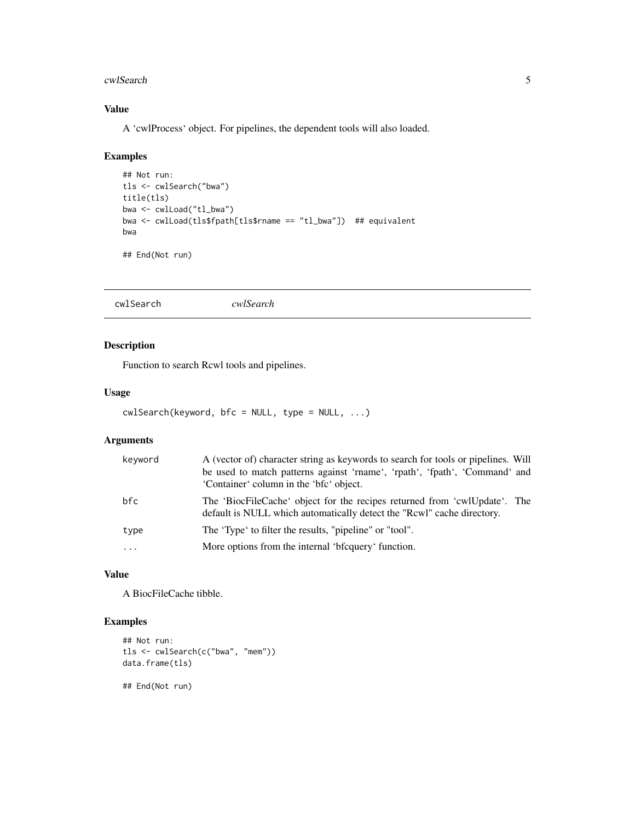#### <span id="page-4-0"></span>cwlSearch 5

#### Value

A 'cwlProcess' object. For pipelines, the dependent tools will also loaded.

#### Examples

```
## Not run:
tls <- cwlSearch("bwa")
title(tls)
bwa <- cwlLoad("tl_bwa")
bwa <- cwlLoad(tls$fpath[tls$rname == "tl_bwa"]) ## equivalent
bwa
## End(Not run)
```
cwlSearch *cwlSearch*

#### Description

Function to search Rcwl tools and pipelines.

#### Usage

```
cwlSearch(keyword, bfc = NULL, type = NULL, ...)
```
#### Arguments

| keyword  | A (vector of) character string as keywords to search for tools or pipelines. Will<br>be used to match patterns against 'rname', 'rpath', 'fpath', 'Command' and<br>'Container' column in the 'bfc' object. |
|----------|------------------------------------------------------------------------------------------------------------------------------------------------------------------------------------------------------------|
| bfc      | The 'BiocFileCache' object for the recipes returned from 'cwlUpdate'. The<br>default is NULL which automatically detect the "Rcwl" cache directory.                                                        |
| type     | The 'Type' to filter the results, "pipeline" or "tool".                                                                                                                                                    |
| $\cdots$ | More options from the internal 'bigguery' function.                                                                                                                                                        |

#### Value

A BiocFileCache tibble.

#### Examples

```
## Not run:
tls <- cwlSearch(c("bwa", "mem"))
data.frame(tls)
```
## End(Not run)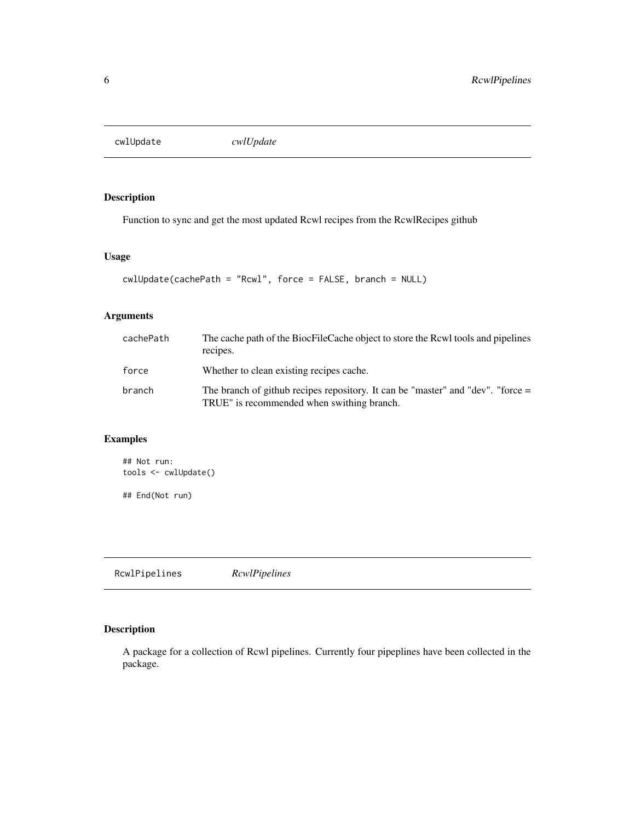<span id="page-5-0"></span>cwlUpdate *cwlUpdate*

#### Description

Function to sync and get the most updated Rcwl recipes from the RcwlRecipes github

#### Usage

```
cwlUpdate(cachePath = "Rcwl", force = FALSE, branch = NULL)
```
#### Arguments

| cachePath | The cache path of the BiocFileCache object to store the Rcwl tools and pipelines<br>recipes.                                    |
|-----------|---------------------------------------------------------------------------------------------------------------------------------|
| force     | Whether to clean existing recipes cache.                                                                                        |
| branch    | The branch of github recipes repository. It can be "master" and "dev". "force $=$<br>TRUE" is recommended when swithing branch. |

#### Examples

```
## Not run:
tools <- cwlUpdate()
## End(Not run)
```
RcwlPipelines *RcwlPipelines*

#### Description

A package for a collection of Rcwl pipelines. Currently four pipeplines have been collected in the package.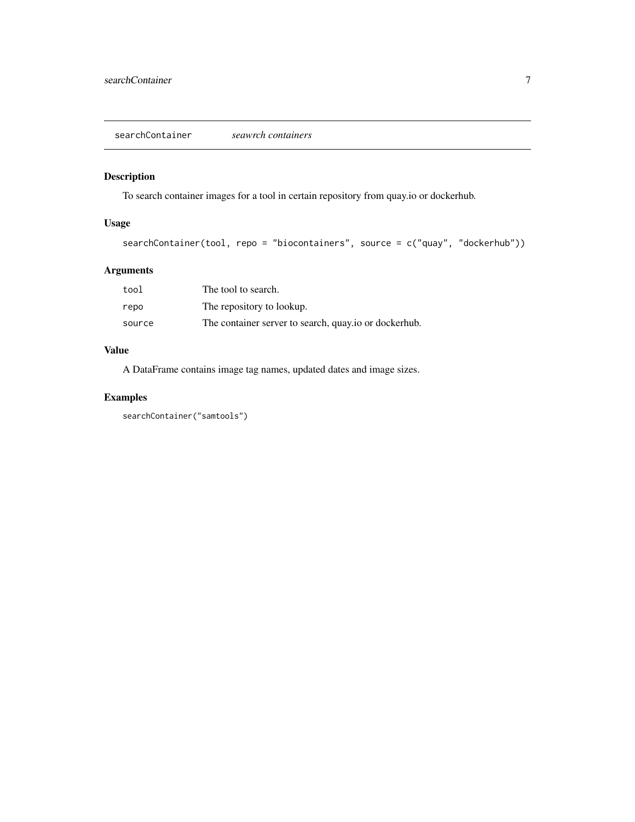<span id="page-6-0"></span>searchContainer *seawrch containers*

#### Description

To search container images for a tool in certain repository from quay.io or dockerhub.

#### Usage

```
searchContainer(tool, repo = "biocontainers", source = c("quay", "dockerhub"))
```
#### Arguments

| tool   | The tool to search.                                   |
|--------|-------------------------------------------------------|
| repo   | The repository to lookup.                             |
| source | The container server to search, quay io or dockerhub. |

#### Value

A DataFrame contains image tag names, updated dates and image sizes.

#### Examples

searchContainer("samtools")